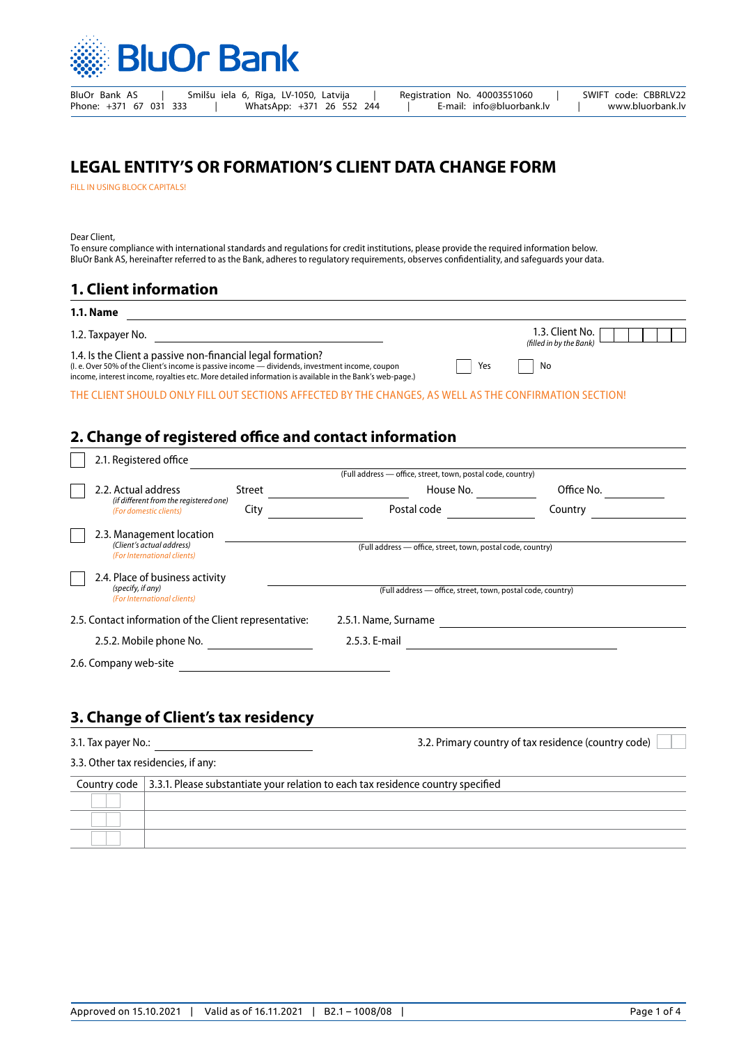

BluOr Bank AS | Smilšu iela 6, Rīga, LV-1050, Latvija | Registration No. 40003551060 | SWIFT code: CBBRLV22<br>Phone: +371 67 031 333 | WhatsApp: +371 26 552 244 | E-mail: info@bluorbank.lv | www.bluorbank.lv Phone: +371 67 031 333 | WhatsApp: +371 26 552 244 | E-mail: info@bluorbank.lv | www.bluorbank.lv

# **LEGAL ENTITY'S OR FORMATION'S CLIENT DATA CHANGE FORM**

FILL IN USING BLOCK CAPITALS!

Dear Client,

To ensure compliance with international standards and regulations for credit institutions, please provide the required information below. BluOr Bank AS, hereinafter referred to as the Bank, adheres to regulatory requirements, observes confidentiality, and safeguards your data.

# **1. Client information**

#### **1.1. Name**

| 1.2. Taxpayer No. | 1.3. Client No. |
|-------------------|-----------------|
|                   |                 |

1.4. Is the Client a passive non-financial legal formation? (I. e. Over 50% of the Client's income is passive income — dividends, investment income, coupon income, interest income, royalties etc. More detailed information is available in the Bank's web-page.)

|     | (filled in by the Bank) |
|-----|-------------------------|
| Yes | No                      |

THE CLIENT SHOULD ONLY FILL OUT SECTIONS AFFECTED BY THE CHANGES, AS WELL AS THE CONFIRMATION SECTION!

# **2. Change of registered office and contact information**

| 2.1. Registered office                                                               |                                                             |            |  |  |  |  |  |  |  |
|--------------------------------------------------------------------------------------|-------------------------------------------------------------|------------|--|--|--|--|--|--|--|
|                                                                                      | (Full address - office, street, town, postal code, country) |            |  |  |  |  |  |  |  |
| 2.2. Actual address<br>Street                                                        | House No.                                                   | Office No. |  |  |  |  |  |  |  |
| (if different from the registered one)<br>City<br>(For domestic clients)             | Postal code                                                 | Country    |  |  |  |  |  |  |  |
| 2.3. Management location<br>(Client's actual address)<br>(For International clients) | (Full address - office, street, town, postal code, country) |            |  |  |  |  |  |  |  |
| 2.4. Place of business activity<br>(specify, if any)<br>(For International clients)  | (Full address - office, street, town, postal code, country) |            |  |  |  |  |  |  |  |
| 2.5. Contact information of the Client representative:                               | 2.5.1. Name, Surname                                        |            |  |  |  |  |  |  |  |
| 2.5.2. Mobile phone No.                                                              | 2.5.3. E-mail                                               |            |  |  |  |  |  |  |  |
| 2.6. Company web-site                                                                |                                                             |            |  |  |  |  |  |  |  |

## **3. Change of Client's tax residency**

| 3.1. Tax payer No.:                 | 3.2. Primary country of tax residence (country code)                                                  |  |
|-------------------------------------|-------------------------------------------------------------------------------------------------------|--|
| 3.3. Other tax residencies, if any: |                                                                                                       |  |
|                                     | Country code $\vert$ 3.3.1. Please substantiate your relation to each tax residence country specified |  |
|                                     |                                                                                                       |  |
|                                     |                                                                                                       |  |
|                                     |                                                                                                       |  |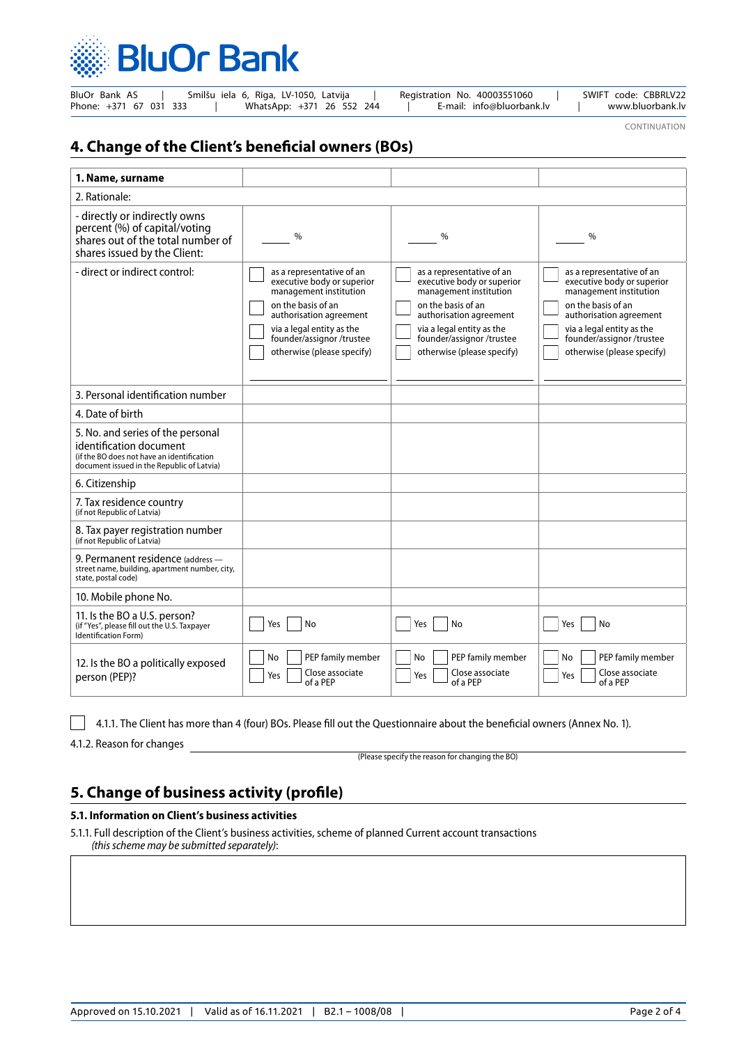

| BluOr Bank AS          |  |  |  |  | Smilšu iela 6, Rīga, LV-1050, Latvija |  |  |  | Registration No. 40003551060 |  | SWIFT code: CBBRLV22 |
|------------------------|--|--|--|--|---------------------------------------|--|--|--|------------------------------|--|----------------------|
| Phone: +371 67 031 333 |  |  |  |  | WhatsApp: +371 26 552 244             |  |  |  | E-mail: info@bluorbank.lv    |  | www.bluorbank.lv     |

CONTINUATION

# **4. Change of the Client's beneficial owners (BOs)**

| 1. Name, surname                                                                                                                                         |                                                                                                                                                                                                                           |                                                                                                                                                                                                                            |                                                                                                                                                                                                                           |
|----------------------------------------------------------------------------------------------------------------------------------------------------------|---------------------------------------------------------------------------------------------------------------------------------------------------------------------------------------------------------------------------|----------------------------------------------------------------------------------------------------------------------------------------------------------------------------------------------------------------------------|---------------------------------------------------------------------------------------------------------------------------------------------------------------------------------------------------------------------------|
| 2. Rationale:                                                                                                                                            |                                                                                                                                                                                                                           |                                                                                                                                                                                                                            |                                                                                                                                                                                                                           |
| - directly or indirectly owns<br>percent (%) of capital/voting<br>shares out of the total number of<br>shares issued by the Client:                      | %                                                                                                                                                                                                                         | %                                                                                                                                                                                                                          | $\%$                                                                                                                                                                                                                      |
| - direct or indirect control:                                                                                                                            | as a representative of an<br>executive body or superior<br>management institution<br>on the basis of an<br>authorisation agreement<br>via a legal entity as the<br>founder/assignor/trustee<br>otherwise (please specify) | as a representative of an<br>executive body or superior<br>management institution<br>on the basis of an<br>authorisation agreement<br>via a legal entity as the<br>founder/assignor /trustee<br>otherwise (please specify) | as a representative of an<br>executive body or superior<br>management institution<br>on the basis of an<br>authorisation agreement<br>via a legal entity as the<br>founder/assignor/trustee<br>otherwise (please specify) |
| 3. Personal identification number                                                                                                                        |                                                                                                                                                                                                                           |                                                                                                                                                                                                                            |                                                                                                                                                                                                                           |
| 4. Date of birth                                                                                                                                         |                                                                                                                                                                                                                           |                                                                                                                                                                                                                            |                                                                                                                                                                                                                           |
| 5. No. and series of the personal<br>identification document<br>(if the BO does not have an identification<br>document issued in the Republic of Latvia) |                                                                                                                                                                                                                           |                                                                                                                                                                                                                            |                                                                                                                                                                                                                           |
| 6. Citizenship                                                                                                                                           |                                                                                                                                                                                                                           |                                                                                                                                                                                                                            |                                                                                                                                                                                                                           |
| 7. Tax residence country<br>(if not Republic of Latvia)                                                                                                  |                                                                                                                                                                                                                           |                                                                                                                                                                                                                            |                                                                                                                                                                                                                           |
| 8. Tax payer registration number<br>(if not Republic of Latvia)                                                                                          |                                                                                                                                                                                                                           |                                                                                                                                                                                                                            |                                                                                                                                                                                                                           |
| 9. Permanent residence (address -<br>street name, building, apartment number, city,<br>state, postal code)                                               |                                                                                                                                                                                                                           |                                                                                                                                                                                                                            |                                                                                                                                                                                                                           |
| 10. Mobile phone No.                                                                                                                                     |                                                                                                                                                                                                                           |                                                                                                                                                                                                                            |                                                                                                                                                                                                                           |
| 11. Is the BO a U.S. person?<br>(if "Yes", please fill out the U.S. Taxpayer<br><b>Identification Form)</b>                                              | No<br>Yes                                                                                                                                                                                                                 | No<br>Yes                                                                                                                                                                                                                  | No<br>Yes                                                                                                                                                                                                                 |
| 12. Is the BO a politically exposed<br>person (PEP)?                                                                                                     | PEP family member<br>No<br>Close associate<br>Yes<br>of a PEP                                                                                                                                                             | No<br>PEP family member<br>Close associate<br>Yes<br>of a PEP                                                                                                                                                              | PEP family member<br>No<br>Close associate<br>Yes<br>of a PEP                                                                                                                                                             |

4.1.1. The Client has more than 4 (four) BOs. Please fill out the Questionnaire about the beneficial owners (Annex No. 1).

4.1.2. Reason for changes

(Please specify the reason for changing the BO)

# **5. Change of business activity (profile)**

### **5.1. Information on Client's business activities**

5.1.1. Full description of the Client's business activities, scheme of planned Current account transactions *(this scheme may be submitted separately)*: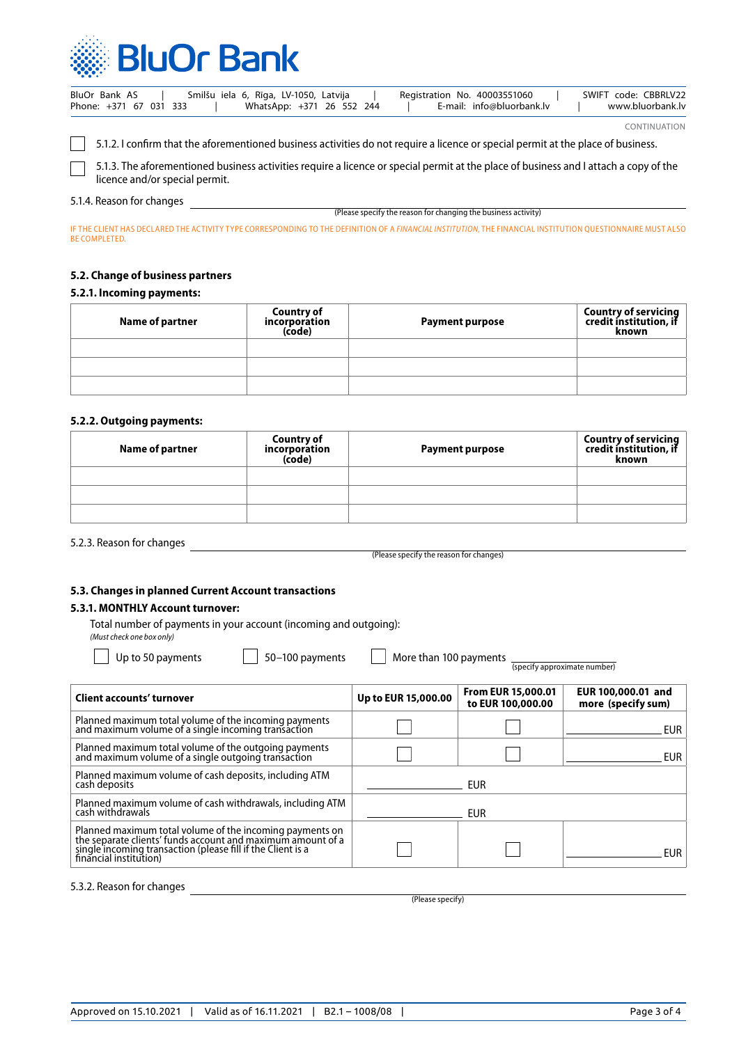

| BluOr Bank AS          | Smilšu iela 6, Rīga, LV-1050, Latvija | Registration No. 40003551060 | SWIFT code: CBBRLV22 |
|------------------------|---------------------------------------|------------------------------|----------------------|
| Phone: +371 67 031 333 | WhatsApp: +371 26 552 244             | E-mail: info@bluorbank.lv    | www.bluorbank.lv     |

CONTINUATION

5.1.2. I confirm that the aforementioned business activities do not require a licence or special permit at the place of business.

5.1.3. The aforementioned business activities require a licence or special permit at the place of business and I attach a copy of the licence and/or special permit.

### 5.1.4. Reason for changes

(Please specify the reason for changing the business activity)

IF THE CLIENT HAS DECLARED THE ACTIVITY TYPE CORRESPONDING TO THE DEFINITION OF A *FINANCIAL INSTITUTION*, THE FINANCIAL INSTITUTION QUESTIONNAIRE MUST ALSO BE COMPLETED.

#### **5.2. Change of business partners**

#### **5.2.1. Incoming payments:**

| Name of partner | <b>Country of</b><br>incorporation<br>(code) | <b>Payment purpose</b> | Country of servicing<br>credit institution, if<br>known |
|-----------------|----------------------------------------------|------------------------|---------------------------------------------------------|
|                 |                                              |                        |                                                         |
|                 |                                              |                        |                                                         |
|                 |                                              |                        |                                                         |

#### **5.2.2. Outgoing payments:**

| Name of partner | <b>Country of</b><br>incorporation<br>(code) | <b>Payment purpose</b> | Country of servicing<br>credit institution, if<br>known |
|-----------------|----------------------------------------------|------------------------|---------------------------------------------------------|
|                 |                                              |                        |                                                         |
|                 |                                              |                        |                                                         |
|                 |                                              |                        |                                                         |

5.2.3. Reason for changes

(Please specify the reason for changes)

### **5.3. Changes in planned Current Account transactions**

### **5.3.1. MONTHLY Account turnover:**

Total number of payments in your account (incoming and outgoing): *(Must check one box only)*

|                     |                                                | (specify approximate number)             |
|---------------------|------------------------------------------------|------------------------------------------|
| Up to EUR 15,000.00 | <b>From EUR 15,000.01</b><br>to EUR 100,000.00 | EUR 100,000.01 and<br>more (specify sum) |
|                     |                                                | EUR.                                     |
|                     |                                                | <b>EUR</b>                               |
|                     | EUR                                            |                                          |
|                     | <b>EUR</b>                                     |                                          |
|                     |                                                | EUR                                      |
|                     |                                                | More than 100 payments                   |

5.3.2. Reason for changes

(Please specify)